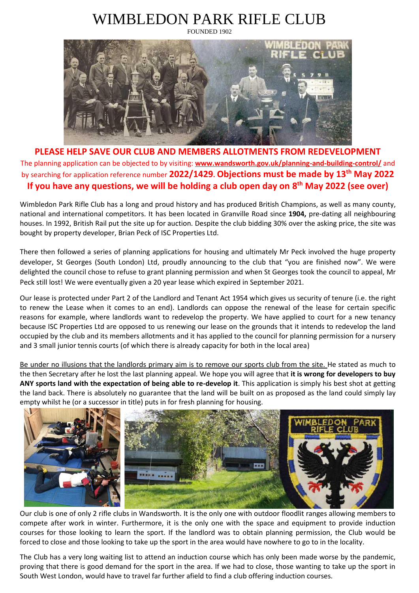## WIMBLEDON PARK RIFLE CLUB



**PLEASE HELP SAVE OUR CLUB AND MEMBERS ALLOTMENTS FROM REDEVELOPMENT** The planning application can be objected to by visiting: **[www.wandsworth.gov.uk/planning-and-building-control/](http://www.wandsworth.gov.uk/planning-and-building-control/)** and by searching for application reference number **2022/1429. Objections must be made by 13th May 2022 If you have any questions, we will be holding a club open day on 8 th May 2022 (see over)**

Wimbledon Park Rifle Club has a long and proud history and has produced British Champions, as well as many county, national and international competitors. It has been located in Granville Road since **1904,** pre-dating all neighbouring houses. In 1992, British Rail put the site up for auction. Despite the club bidding 30% over the asking price, the site was bought by property developer, Brian Peck of ISC Properties Ltd.

There then followed a series of planning applications for housing and ultimately Mr Peck involved the huge property developer, St Georges (South London) Ltd, proudly announcing to the club that "you are finished now". We were delighted the council chose to refuse to grant planning permission and when St Georges took the council to appeal, Mr Peck still lost! We were eventually given a 20 year lease which expired in September 2021.

Our lease is protected under Part 2 of the Landlord and Tenant Act 1954 which gives us security of tenure (i.e. the right to renew the Lease when it comes to an end). Landlords can oppose the renewal of the lease for certain specific reasons for example, where landlords want to redevelop the property. We have applied to court for a new tenancy because ISC Properties Ltd are opposed to us renewing our lease on the grounds that it intends to redevelop the land occupied by the club and its members allotments and it has applied to the council for planning permission for a nursery and 3 small junior tennis courts (of which there is already capacity for both in the local area)

Be under no illusions that the landlords primary aim is to remove our sports club from the site. He stated as much to the then Secretary after he lost the last planning appeal. We hope you will agree that **it is wrong for developers to buy ANY sports land with the expectation of being able to re-develop it**. This application is simply his best shot at getting the land back. There is absolutely no guarantee that the land will be built on as proposed as the land could simply lay empty whilst he (or a successor in title) puts in for fresh planning for housing.



Our club is one of only 2 rifle clubs in Wandsworth. It is the only one with outdoor floodlit ranges allowing members to compete after work in winter. Furthermore, it is the only one with the space and equipment to provide induction courses for those looking to learn the sport. If the landlord was to obtain planning permission, the Club would be forced to close and those looking to take up the sport in the area would have nowhere to go to in the locality.

The Club has a very long waiting list to attend an induction course which has only been made worse by the pandemic, proving that there is good demand for the sport in the area. If we had to close, those wanting to take up the sport in South West London, would have to travel far further afield to find a club offering induction courses.